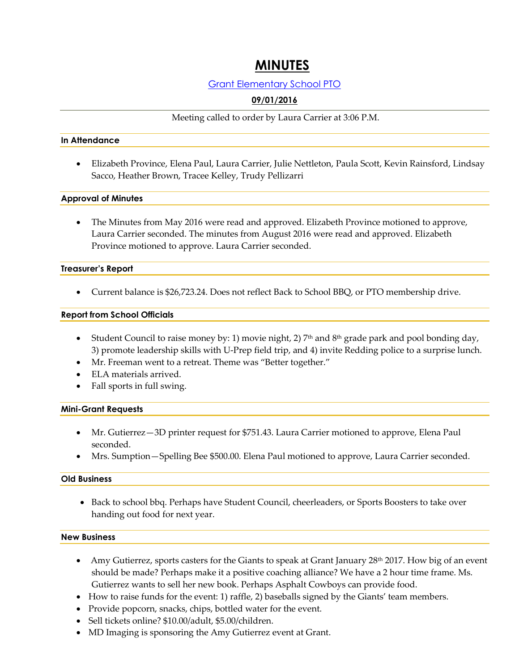# **MINUTES**

# Grant Elementary School PTO

# **09/01/2016**

Meeting called to order by Laura Carrier at 3:06 P.M.

#### **In Attendance**

 Elizabeth Province, Elena Paul, Laura Carrier, Julie Nettleton, Paula Scott, Kevin Rainsford, Lindsay Sacco, Heather Brown, Tracee Kelley, Trudy Pellizarri

## **Approval of Minutes**

 The Minutes from May 2016 were read and approved. Elizabeth Province motioned to approve, Laura Carrier seconded. The minutes from August 2016 were read and approved. Elizabeth Province motioned to approve. Laura Carrier seconded.

## **Treasurer's Report**

Current balance is \$26,723.24. Does not reflect Back to School BBQ, or PTO membership drive.

## **Report from School Officials**

- Student Council to raise money by: 1) movie night, 2)  $7<sup>th</sup>$  and  $8<sup>th</sup>$  grade park and pool bonding day, 3) promote leadership skills with U-Prep field trip, and 4) invite Redding police to a surprise lunch.
- Mr. Freeman went to a retreat. Theme was "Better together."
- ELA materials arrived.
- Fall sports in full swing.

#### **Mini-Grant Requests**

- Mr. Gutierrez—3D printer request for \$751.43. Laura Carrier motioned to approve, Elena Paul seconded.
- Mrs. Sumption—Spelling Bee \$500.00. Elena Paul motioned to approve, Laura Carrier seconded.

#### **Old Business**

• Back to school bbq. Perhaps have Student Council, cheerleaders, or Sports Boosters to take over handing out food for next year.

#### **New Business**

- Amy Gutierrez, sports casters for the Giants to speak at Grant January  $28<sup>th</sup> 2017$ . How big of an event should be made? Perhaps make it a positive coaching alliance? We have a 2 hour time frame. Ms. Gutierrez wants to sell her new book. Perhaps Asphalt Cowboys can provide food.
- How to raise funds for the event: 1) raffle, 2) baseballs signed by the Giants' team members.
- Provide popcorn, snacks, chips, bottled water for the event.
- Sell tickets online? \$10.00/adult, \$5.00/children.
- MD Imaging is sponsoring the Amy Gutierrez event at Grant.